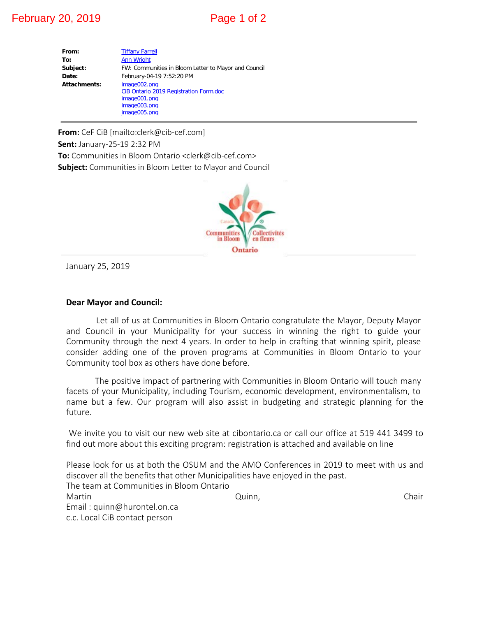# February 20, 2019 **Page 1 of 2**

| From:        | <b>Tiffany Farrell</b>                                 |  |  |  |
|--------------|--------------------------------------------------------|--|--|--|
| To:          | <b>Ann Wright</b>                                      |  |  |  |
| Subject:     | FW: Communities in Bloom Letter to Mayor and Council   |  |  |  |
| Date:        | February-04-19 7:52:20 PM                              |  |  |  |
| Attachments: | image002.png<br>CiB Ontario 2019 Registration Form.doc |  |  |  |
|              | image001.png                                           |  |  |  |
|              | image003.png                                           |  |  |  |
|              | image005.png                                           |  |  |  |

**From:** CeF CiB [mailto:clerk@cib-cef.com] **Sent:** January-25-19 2:32 PM **To:** Communities in Bloom Ontario <clerk@cib-cef.com>

**Subject:** Commu[nitie](http://www.facebook.com/pages/Municipality-of-Middlesex-Centre/280039325448352)s in Bloom Letter to Mayor and Council



January 25, 2019

### **Dear Mayor and Council:**

Let all of us at Communities in Bloom Ontario congratulate the Mayor, Deputy Mayor and Council in your Municipality for your success in winning the right to guide your Community through the next 4 years. In order to help in crafting that winning spirit, please consider adding one of the proven programs at Communities in Bloom Ontario to your Community tool box as others have done before.

 The positive impact of partnering with Communities in Bloom Ontario will touch many facets of your Municipality, including Tourism, economic development, environmentalism, to name but a few. Our program will also assist in budgeting and strategic planning for the future.

 We invite you to visit our new web site at cibontario.ca or call our office at 519 441 3499 to find out more about this exciting program: registration is attached and available on line

Please look for us at both the OSUM and the AMO Conferences in 2019 to meet with us and discover all the benefits that other Municipalities have enjoyed in the past. The team at Communities in Bloom Ontario Martin **Chair** Chair Chair Chair Chair Chair Chair Chair Chair Chair Chair Chair Chair Email : quinn@hurontel.on.ca c.c. Local CiB contact person